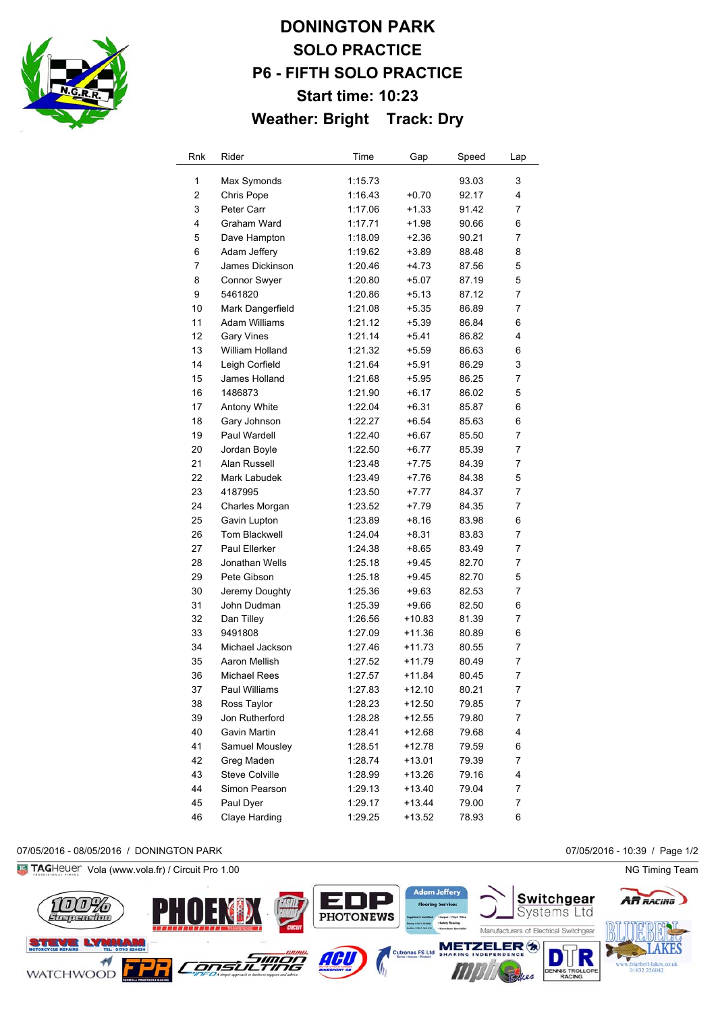

# **DONINGTON PARK SOLO PRACTICE P6 - FIFTH SOLO PRACTICE Start time: 10:23 Weather: Bright Track: Dry**

| Rnk            | Rider                 | Time    | Gap      | Speed | Lap |
|----------------|-----------------------|---------|----------|-------|-----|
| 1              | Max Symonds           | 1:15.73 |          | 93.03 | 3   |
| $\overline{2}$ | Chris Pope            | 1:16.43 | $+0.70$  | 92.17 | 4   |
| 3              | Peter Carr            | 1:17.06 | $+1.33$  | 91.42 | 7   |
| 4              | Graham Ward           | 1:17.71 | $+1.98$  | 90.66 | 6   |
| 5              | Dave Hampton          | 1:18.09 | $+2.36$  | 90.21 | 7   |
| 6              | Adam Jeffery          | 1:19.62 | $+3.89$  | 88.48 | 8   |
| 7              | James Dickinson       | 1:20.46 | $+4.73$  | 87.56 | 5   |
| 8              | Connor Swyer          | 1:20.80 | $+5.07$  | 87.19 | 5   |
| 9              | 5461820               | 1:20.86 | $+5.13$  | 87.12 | 7   |
| 10             | Mark Dangerfield      | 1:21.08 | +5.35    | 86.89 | 7   |
| 11             | Adam Williams         | 1:21.12 | $+5.39$  | 86.84 | 6   |
| 12             | <b>Gary Vines</b>     | 1:21.14 | $+5.41$  | 86.82 | 4   |
| 13             | William Holland       | 1:21.32 | $+5.59$  | 86.63 | 6   |
| 14             | Leigh Corfield        | 1:21.64 | +5.91    | 86.29 | 3   |
| 15             | James Holland         | 1:21.68 | +5.95    | 86.25 | 7   |
| 16             | 1486873               | 1:21.90 | +6.17    | 86.02 | 5   |
| 17             | Antony White          | 1:22.04 | $+6.31$  | 85.87 | 6   |
| 18             | Gary Johnson          | 1:22.27 | +6.54    | 85.63 | 6   |
| 19             | Paul Wardell          | 1:22.40 | +6.67    | 85.50 | 7   |
| 20             | Jordan Boyle          | 1:22.50 | $+6.77$  | 85.39 | 7   |
| 21             | Alan Russell          | 1:23.48 | +7.75    | 84.39 | 7   |
| 22             | Mark Labudek          | 1:23.49 | +7.76    | 84.38 | 5   |
| 23             | 4187995               | 1:23.50 | $+7.77$  | 84.37 | 7   |
| 24             | Charles Morgan        | 1:23.52 | $+7.79$  | 84.35 | 7   |
| 25             | Gavin Lupton          | 1:23.89 | $+8.16$  | 83.98 | 6   |
| 26             | <b>Tom Blackwell</b>  | 1:24.04 | $+8.31$  | 83.83 | 7   |
| 27             | Paul Ellerker         | 1:24.38 | $+8.65$  | 83.49 | 7   |
| 28             | Jonathan Wells        | 1:25.18 | $+9.45$  | 82.70 | 7   |
| 29             | Pete Gibson           | 1:25.18 | $+9.45$  | 82.70 | 5   |
| 30             | Jeremy Doughty        | 1:25.36 | $+9.63$  | 82.53 | 7   |
| 31             | John Dudman           | 1:25.39 | $+9.66$  | 82.50 | 6   |
| 32             | Dan Tilley            | 1:26.56 | $+10.83$ | 81.39 | 7   |
| 33             | 9491808               | 1:27.09 | +11.36   | 80.89 | 6   |
| 34             | Michael Jackson       | 1:27.46 | +11.73   | 80.55 | 7   |
| 35             | Aaron Mellish         | 1:27.52 | $+11.79$ | 80.49 | 7   |
| 36             | Michael Rees          | 1:27.57 | $+11.84$ | 80.45 | 7   |
| 37             | Paul Williams         | 1:27.83 | $+12.10$ | 80.21 | ſ   |
| 38             | Ross Taylor           | 1:28.23 | +12.50   | 79.85 | 7   |
| 39             | Jon Rutherford        | 1:28.28 | $+12.55$ | 79.80 | 7   |
| 40             | Gavin Martin          | 1:28.41 | +12.68   | 79.68 | 4   |
| 41             | Samuel Mousley        | 1:28.51 | +12.78   | 79.59 | 6   |
| 42             | Greg Maden            | 1:28.74 | +13.01   | 79.39 | 7   |
| 43             | <b>Steve Colville</b> | 1:28.99 | $+13.26$ | 79.16 | 4   |
| 44             | Simon Pearson         | 1:29.13 | $+13.40$ | 79.04 | 7   |
| 45             | Paul Dyer             | 1:29.17 | $+13.44$ | 79.00 | 7   |
| 46             | Claye Harding         | 1:29.25 | +13.52   | 78.93 | 6   |

07/05/2016 - 08/05/2016 / DONINGTON PARK 07/05/2016 - 10:39 / Page 1/2

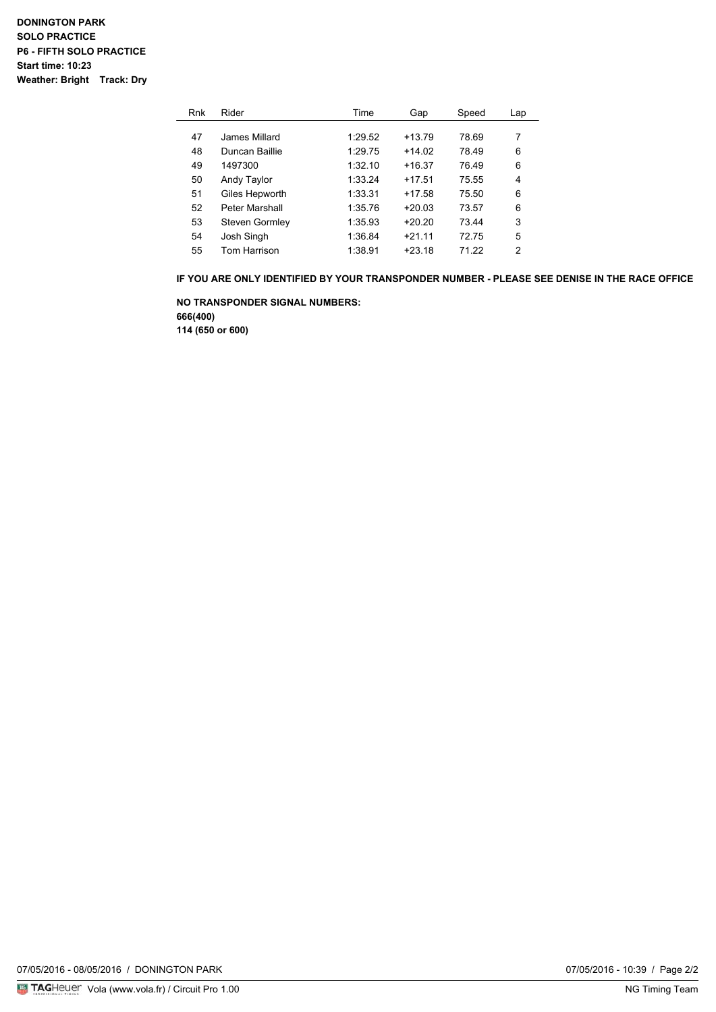| Rnk | Rider          | Time    | Gap      | Speed | Lap |
|-----|----------------|---------|----------|-------|-----|
|     |                |         |          |       |     |
| 47  | James Millard  | 1:29.52 | $+13.79$ | 78.69 | 7   |
| 48  | Duncan Baillie | 1:29.75 | $+14.02$ | 78.49 | 6   |
| 49  | 1497300        | 1:32.10 | $+16.37$ | 76.49 | 6   |
| 50  | Andy Taylor    | 1:33.24 | $+17.51$ | 75.55 | 4   |
| 51  | Giles Hepworth | 1:33.31 | $+17.58$ | 75.50 | 6   |
| 52  | Peter Marshall | 1:35.76 | $+20.03$ | 73.57 | 6   |
| 53  | Steven Gormley | 1:35.93 | $+20.20$ | 73.44 | 3   |
| 54  | Josh Singh     | 1:36.84 | $+2111$  | 7275  | 5   |
| 55  | Tom Harrison   | 1:38.91 | $+23.18$ | 71 22 | 2   |

**IF YOU ARE ONLY IDENTIFIED BY YOUR TRANSPONDER NUMBER - PLEASE SEE DENISE IN THE RACE OFFICE**

**NO TRANSPONDER SIGNAL NUMBERS: 666(400) 114 (650 or 600)**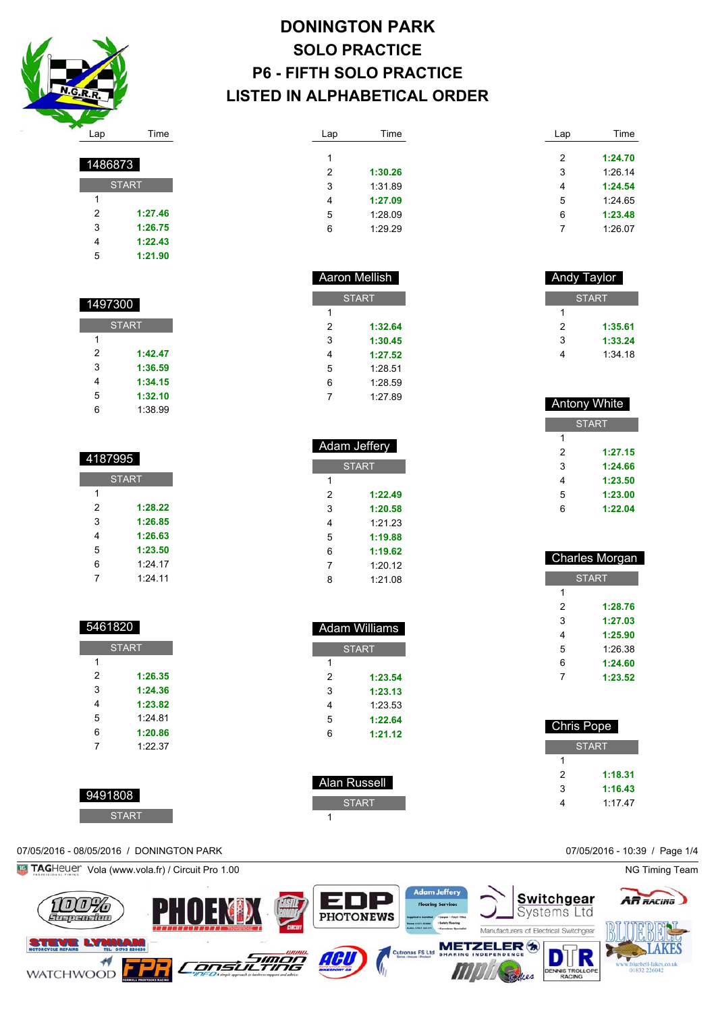

**START** 

 **1:27.46 1:26.75 1:22.43 1:21.90**

| <b>DONINGTON PARK</b>           |
|---------------------------------|
| <b>SOLO PRACTICE</b>            |
| <b>P6 - FIFTH SOLO PRACTICE</b> |
| LISTED IN ALPHABETICAL ORDER    |

 Aaron Mellish **START** 

> **1:32.64 1:30.45 1:27.52** 1:28.51 1:28.59 1:27.89

 Adam Jeffery **START** 

> **1:22.49 1:20.58** 1:21.23 **1:19.88 1:19.62** 1:20.12 1:21.08

 Adam Williams START

> **1:23.54 1:23.13** 1:23.53 **1:22.64 1:21.12**

 Alan Russell START

| Lap            | Time    | Lap | Time    |
|----------------|---------|-----|---------|
| 1              |         | 2   | 1:24.70 |
|                |         |     |         |
| $\overline{2}$ | 1:30.26 | 3   | 1:26.14 |
| 3              | 1:31.89 | 4   | 1:24.54 |
| 4              | 1:27.09 | 5   | 1:24.65 |
| 5              | 1:28.09 | 6   | 1:23.48 |
| 6              | 1:29.29 |     | 1:26.07 |

| <b>Antony White</b> |         |  |  |  |
|---------------------|---------|--|--|--|
| <b>START</b>        |         |  |  |  |
| 1                   |         |  |  |  |
| 2                   | 1:27.15 |  |  |  |
| 3                   | 1:24.66 |  |  |  |
| 4                   | 1:23.50 |  |  |  |
| 5                   | 1:23.00 |  |  |  |
| 6                   | 1:22.04 |  |  |  |

 **1:35.61 1:33.24** 1:34.18

| <b>Charles Morgan</b> |         |  |  |  |
|-----------------------|---------|--|--|--|
| <b>START</b>          |         |  |  |  |
| 1                     |         |  |  |  |
| 2                     | 1:28.76 |  |  |  |
| 3                     | 1:27.03 |  |  |  |
| 4                     | 1:25.90 |  |  |  |
| 5                     | 1:26.38 |  |  |  |
| 6                     | 1:24.60 |  |  |  |
| 7                     | 1:23.52 |  |  |  |
|                       |         |  |  |  |

| <b>Chris Pope</b> |         |  |  |  |
|-------------------|---------|--|--|--|
| <b>START</b>      |         |  |  |  |
|                   |         |  |  |  |
| 2                 | 1:18.31 |  |  |  |
| 3                 | 1:16.43 |  |  |  |
|                   | 1:17.47 |  |  |  |

| 1497300      |         |  |  |  |
|--------------|---------|--|--|--|
| <b>START</b> |         |  |  |  |
| 1            |         |  |  |  |
| 2            | 1:42.47 |  |  |  |
| 3            | 1:36.59 |  |  |  |
| 4            | 1:34.15 |  |  |  |
| 5            | 1:32.10 |  |  |  |

1:38.99

| 4187995      |           |  |  |  |
|--------------|-----------|--|--|--|
| <b>START</b> |           |  |  |  |
| 1            |           |  |  |  |
| 2            | 1:28.22   |  |  |  |
| 3            | 1:26.85   |  |  |  |
| 4            | 1:26.63   |  |  |  |
| 5            | 1:23.50   |  |  |  |
| 6            | $1:24$ 17 |  |  |  |
| 7            | $1:24$ 11 |  |  |  |

| 940 I 820    |         |  |  |
|--------------|---------|--|--|
| <b>START</b> |         |  |  |
| 1            |         |  |  |
| 2            | 1:26.35 |  |  |
| 3            | 1:24.36 |  |  |
| 4            | 1:23.82 |  |  |
| 5            | 1:24.81 |  |  |
| 6            | 1:20.86 |  |  |
| 7            | 1:22.37 |  |  |
|              |         |  |  |

| 9491808 |  |  |
|---------|--|--|
|         |  |  |
|         |  |  |
|         |  |  |

| 808          |  |  |
|--------------|--|--|
| <b>START</b> |  |  |

## 07/05/2016 - 08/05/2016 / DONINGTON PARK 07/05/2016 - 10:39 / Page 1/4

**Fig. TAG**Heuer Vola (www.vola.fr) / Circuit Pro 1.00 NG Timing Team

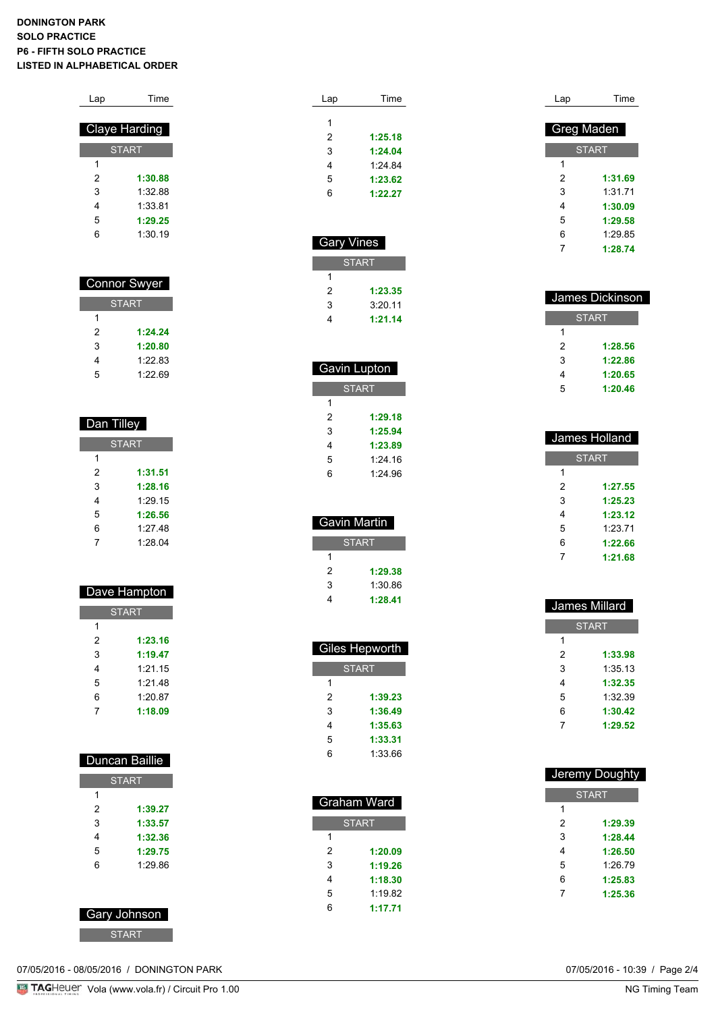### **DONINGTON PARK SOLO PRACTICE P6 - FIFTH SOLO PRACTICE LISTED IN ALPHABETICAL ORDER**

| Time                 |  |  |
|----------------------|--|--|
|                      |  |  |
| <b>Claye Harding</b> |  |  |
| <b>START</b>         |  |  |
|                      |  |  |
| 1:30.88              |  |  |
| 1:32.88              |  |  |
| 1:33.81              |  |  |
| 1:29.25              |  |  |
| 1:30.19              |  |  |
|                      |  |  |

| <b>Connor Swyer</b> |         |  |
|---------------------|---------|--|
| <b>START</b>        |         |  |
| 1                   |         |  |
| 2                   | 1:24.24 |  |
| 3                   | 1:20.80 |  |
| 4                   | 1:22.83 |  |
| 5                   | 1.22.69 |  |

| Dan Tilley   |         |  |
|--------------|---------|--|
| <b>START</b> |         |  |
| 1            |         |  |
| 2            | 1:31.51 |  |
| 3            | 1:28.16 |  |
| 4            | 1:29.15 |  |
| 5            | 1:26.56 |  |
| 6            | 1:27.48 |  |
| 7            | 1:28.04 |  |

| Dave Hampton |  |
|--------------|--|

| <b>START</b> |         |  |
|--------------|---------|--|
| 1            |         |  |
| 2            | 1:23.16 |  |
| 3            | 1:19.47 |  |
| 4            | 1:21.15 |  |
| 5            | 1:21.48 |  |
| 6            | 1:20.87 |  |
|              | 1:18.09 |  |

| Duncan Baillie |         |  |
|----------------|---------|--|
| <b>START</b>   |         |  |
| 1              |         |  |
| 2              | 1:39.27 |  |
| 3              | 1:33.57 |  |
| 4              | 1:32.36 |  |
| 5              | 1:29.75 |  |

| Gary Johnson |  |
|--------------|--|
|              |  |
|              |  |
|              |  |
|              |  |

1:29.86

| Lap | Time    |
|-----|---------|
|     |         |
| 1   |         |
| 2   | 1:25.18 |
| 3   | 1:24.04 |
| 4   | 1.24B   |
| 5   | 1:23.62 |
| 6   | 1:22.27 |
|     |         |

| <b>Gary Vines</b> |         |  |
|-------------------|---------|--|
| <b>START</b>      |         |  |
|                   |         |  |
| 2                 | 1:23.35 |  |
| 3                 | 3:20.11 |  |
|                   | 1:21.14 |  |

ı

| Gavin Lupton |         |  |
|--------------|---------|--|
| <b>START</b> |         |  |
| 1            |         |  |
| 2            | 1:29.18 |  |
| 3            | 1:25.94 |  |
| 4            | 1:23.89 |  |
| 5            | 1.24 16 |  |
| 6            | 1.2496  |  |
|              |         |  |

| Gavin Martin |         |  |
|--------------|---------|--|
| <b>START</b> |         |  |
| 1            |         |  |
| 2            | 1:29.38 |  |
| 3            | 1:30.86 |  |
|              | 1:28.41 |  |

| <b>Giles Hepworth</b> |         |
|-----------------------|---------|
| START                 |         |
| 1                     |         |
| 2                     | 1:39.23 |
| 3                     | 1:36.49 |
| 4                     | 1:35.63 |
| 5                     | 1:33.31 |
| հ                     | 1:33.66 |

| Graham Ward  |         |
|--------------|---------|
| <b>START</b> |         |
| 1            |         |
| 2            | 1:20.09 |
| 3            | 1:19.26 |
| 4            | 1:18.30 |
| 5            | 1.19.82 |
| հ            | 1:17.71 |
|              |         |

| Lap        | Time         |
|------------|--------------|
|            |              |
| Greg Maden |              |
|            | <b>START</b> |
| 1          |              |
| 2          | 1:31.69      |
| 3          | 1:31.71      |
| 4          | 1:30.09      |
| 5          | 1:29.58      |
| 6          | 1.2985       |
| 7          | 1:28.74      |

| James Dickinson |         |
|-----------------|---------|
| <b>START</b>    |         |
| 1               |         |
| 2               | 1:28.56 |
| 3               | 1:22.86 |
| 4               | 1:20.65 |
| 5               | 1:20.46 |

| James Holland |  |
|---------------|--|
| <b>START</b>  |  |
|               |  |
| 1:27.55       |  |
| 1:25.23       |  |
| 1:23.12       |  |
| 1:23.71       |  |
| 1:22.66       |  |
| 1:21.68       |  |
|               |  |

| James Millard |         |  |
|---------------|---------|--|
| <b>START</b>  |         |  |
| 1             |         |  |
| 2             | 1:33.98 |  |
| 3             | 1:35.13 |  |
| 4             | 1:32.35 |  |
| 5             | 1:32.39 |  |
| 6             | 1:30.42 |  |
| 7             | 1:29.52 |  |

|   | Jeremy Doughty |
|---|----------------|
|   | <b>START</b>   |
| 1 |                |
| 2 | 1:29.39        |
| 3 | 1:28.44        |
| 4 | 1:26.50        |
| 5 | 1:26.79        |
| 6 | 1:25.83        |
| 7 | 1:25.36        |
|   |                |

07/05/2016 - 08/05/2016 / DONINGTON PARK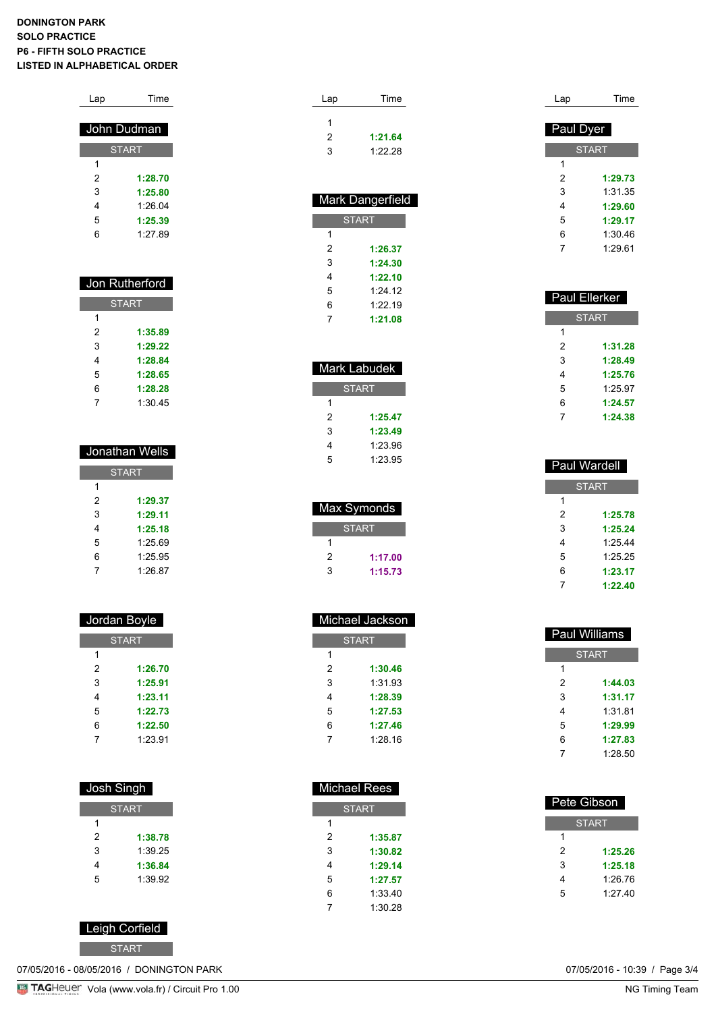### **DONINGTON PARK SOLO PRACTICE P6 - FIFTH SOLO PRACTICE LISTED IN ALPHABETICAL ORDER**

| Lap | <b>Time</b>  |
|-----|--------------|
|     | John Dudman  |
|     | <b>START</b> |
| 1   |              |
| 2   | 1:28.70      |
| 3   | 1:25.80      |
| 4   | 1:26.04      |
| 5   | 1:25.39      |
| 6   | 1.2789       |
|     |              |
|     |              |

| Jon Rutherford |         |
|----------------|---------|
| <b>START</b>   |         |
| 1              |         |
| 2              | 1:35.89 |
| 3              | 1:29.22 |
| 4              | 1:28.84 |
| 5              | 1:28.65 |
| 6              | 1:28.28 |
|                | 1:30 45 |

| Jonathan Wells |         |  |
|----------------|---------|--|
| <b>START</b>   |         |  |
| 1              |         |  |
| 2              | 1:29.37 |  |
| 3              | 1:29.11 |  |
| 4              | 1:25.18 |  |
| 5              | 1:25.69 |  |
| 6              | 1:25.95 |  |
|                | 1:26.87 |  |

| Jordan Boyle |         |
|--------------|---------|
| <b>START</b> |         |
| 1            |         |
| 2            | 1:26.70 |
| 3            | 1:25.91 |
| 4            | 1:23.11 |
| 5            | 1:22.73 |
| 6            | 1:22.50 |
| 7            | 1:23.91 |
|              |         |

| Josh Singh   |         |  |
|--------------|---------|--|
| <b>START</b> |         |  |
| 1            |         |  |
| 2            | 1:38.78 |  |
| 3            | 1:39.25 |  |
| 4            | 1:36.84 |  |
| 5            | 1.39.92 |  |

Leigh Corfield

START

07/05/2016 - 08/05/2016 / DONINGTON PARK

| Lap | Time    |  |
|-----|---------|--|
|     |         |  |
| 1   |         |  |
| 2   | 1:21.64 |  |
| 3   | 1:22.28 |  |
|     |         |  |
|     |         |  |
|     |         |  |

| <b>Mark Dangerfield</b> |         |  |
|-------------------------|---------|--|
| <b>START</b>            |         |  |
| 1                       |         |  |
| 2                       | 1:26.37 |  |
| 3                       | 1:24.30 |  |
| 4                       | 1:22.10 |  |
| 5                       | 1.2412  |  |
| 6                       | 1.2219  |  |
| 7                       | 1:21.08 |  |

| Mark Labudek |         |  |
|--------------|---------|--|
| <b>START</b> |         |  |
| 1            |         |  |
| 2            | 1:25.47 |  |
| 3            | 1:23.49 |  |
| 4            | 1:23.96 |  |
| 5            | 1:23.95 |  |
|              |         |  |

| Max Symonds  |         |  |
|--------------|---------|--|
| <b>START</b> |         |  |
|              |         |  |
| 2            | 1:17.00 |  |
| 3            | 1:15.73 |  |

| Michael Jackson |         |  |
|-----------------|---------|--|
| <b>START</b>    |         |  |
| 1               |         |  |
| 2               | 1:30.46 |  |
| 3               | 1:31.93 |  |
| 4               | 1:28.39 |  |
| 5               | 1:27.53 |  |
| 6               | 1:27.46 |  |
| 7               | 1.28.16 |  |
|                 |         |  |

| Lap       | Time         |
|-----------|--------------|
| Paul Dyer |              |
|           |              |
|           | <b>START</b> |
| 1         |              |
| 2         | 1:29.73      |
| 3         | 1:31.35      |
| 4         | 1:29.60      |
| 5         | 1:29.17      |
| 6         | 1:30.46      |
| 7         | 1:29.61      |

| <b>Paul Ellerker</b> |              |  |  |
|----------------------|--------------|--|--|
|                      | <b>START</b> |  |  |
| 1                    |              |  |  |
| 2                    | 1:31.28      |  |  |
| 3                    | 1:28.49      |  |  |
| 4                    | 1:25.76      |  |  |
| 5                    | 1:25.97      |  |  |
| 6                    | 1:24.57      |  |  |
| 7                    | 1:24.38      |  |  |

| <b>Paul Wardell</b> |         |  |
|---------------------|---------|--|
| <b>START</b>        |         |  |
| 1                   |         |  |
| 2                   | 1:25.78 |  |
| 3                   | 1:25.24 |  |
| 4                   | 1.254   |  |
| 5                   | 1.25.25 |  |
| 6                   | 1:23.17 |  |
|                     | 1:22.40 |  |

|   | <b>Paul Williams</b> |  |
|---|----------------------|--|
|   | <b>START</b>         |  |
| 1 |                      |  |
| 2 | 1:44.03              |  |
| 3 | 1:31.17              |  |
| 4 | 1:31.81              |  |
| 5 | 1:29.99              |  |
| 6 | 1:27.83              |  |
| 7 | 1:28.50              |  |

|   | Michael Rees |   |              |
|---|--------------|---|--------------|
|   | <b>START</b> |   | Pete Gibson  |
| 1 |              |   | <b>START</b> |
| 2 | 1:35.87      | 1 |              |
| 3 | 1:30.82      | 2 | 1:25.26      |
| 4 | 1:29.14      | 3 | 1:25.18      |
| 5 | 1:27.57      | 4 | 1:26.76      |
| 6 | 1:33.40      | 5 | 1:27.40      |
| 7 | 1:30.28      |   |              |